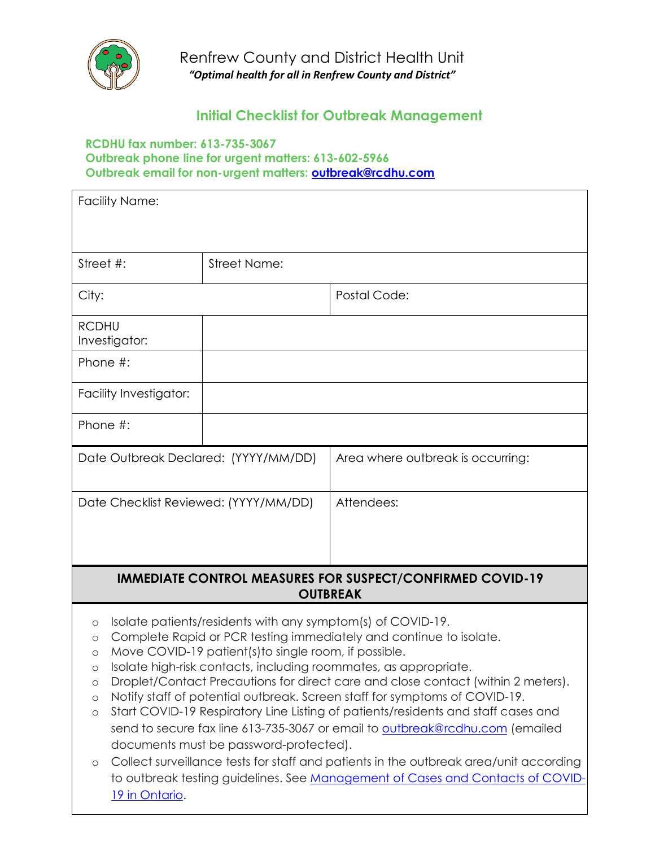

### **Initial Checklist for Outbreak Management**

#### **RCDHU fax number: 613-735-3067 Outbreak phone line for urgent matters: 613-602-5966 Outbreak email for non-urgent matters: [outbreak@rcdhu.com](mailto:outbreak@rcdhu.com)**

| <b>Facility Name:</b>                                                                       |                                                                                                                                                                |                                                                                                                                                                                                                                                                                                                                                                                                                                                                                                                                                                                                                                                          |
|---------------------------------------------------------------------------------------------|----------------------------------------------------------------------------------------------------------------------------------------------------------------|----------------------------------------------------------------------------------------------------------------------------------------------------------------------------------------------------------------------------------------------------------------------------------------------------------------------------------------------------------------------------------------------------------------------------------------------------------------------------------------------------------------------------------------------------------------------------------------------------------------------------------------------------------|
|                                                                                             |                                                                                                                                                                |                                                                                                                                                                                                                                                                                                                                                                                                                                                                                                                                                                                                                                                          |
| Street #:                                                                                   | <b>Street Name:</b>                                                                                                                                            |                                                                                                                                                                                                                                                                                                                                                                                                                                                                                                                                                                                                                                                          |
| City:                                                                                       |                                                                                                                                                                | Postal Code:                                                                                                                                                                                                                                                                                                                                                                                                                                                                                                                                                                                                                                             |
| <b>RCDHU</b><br>Investigator:                                                               |                                                                                                                                                                |                                                                                                                                                                                                                                                                                                                                                                                                                                                                                                                                                                                                                                                          |
| Phone #:                                                                                    |                                                                                                                                                                |                                                                                                                                                                                                                                                                                                                                                                                                                                                                                                                                                                                                                                                          |
| Facility Investigator:                                                                      |                                                                                                                                                                |                                                                                                                                                                                                                                                                                                                                                                                                                                                                                                                                                                                                                                                          |
| Phone #:                                                                                    |                                                                                                                                                                |                                                                                                                                                                                                                                                                                                                                                                                                                                                                                                                                                                                                                                                          |
| Date Outbreak Declared: (YYYY/MM/DD)                                                        |                                                                                                                                                                | Area where outbreak is occurring:                                                                                                                                                                                                                                                                                                                                                                                                                                                                                                                                                                                                                        |
| Date Checklist Reviewed: (YYYY/MM/DD)                                                       |                                                                                                                                                                | Attendees:                                                                                                                                                                                                                                                                                                                                                                                                                                                                                                                                                                                                                                               |
|                                                                                             |                                                                                                                                                                |                                                                                                                                                                                                                                                                                                                                                                                                                                                                                                                                                                                                                                                          |
|                                                                                             |                                                                                                                                                                |                                                                                                                                                                                                                                                                                                                                                                                                                                                                                                                                                                                                                                                          |
|                                                                                             |                                                                                                                                                                | <b>IMMEDIATE CONTROL MEASURES FOR SUSPECT/CONFIRMED COVID-19</b><br><b>OUTBREAK</b>                                                                                                                                                                                                                                                                                                                                                                                                                                                                                                                                                                      |
| $\circ$<br>$\circ$<br>$\circ$<br>$\circ$<br>$\circ$<br>$\circ$<br>$\circ$<br>19 in Ontario. | Isolate patients/residents with any symptom(s) of COVID-19.<br>Move COVID-19 patient(s) to single room, if possible.<br>documents must be password-protected). | Complete Rapid or PCR testing immediately and continue to isolate.<br>Isolate high-risk contacts, including roommates, as appropriate.<br>Droplet/Contact Precautions for direct care and close contact (within 2 meters).<br>Notify staff of potential outbreak. Screen staff for symptoms of COVID-19.<br>Start COVID-19 Respiratory Line Listing of patients/residents and staff cases and<br>send to secure fax line 613-735-3067 or email to outbreak@rcdhu.com (emailed<br>Collect surveillance tests for staff and patients in the outbreak area/unit according<br>to outbreak testing guidelines. See Management of Cases and Contacts of COVID- |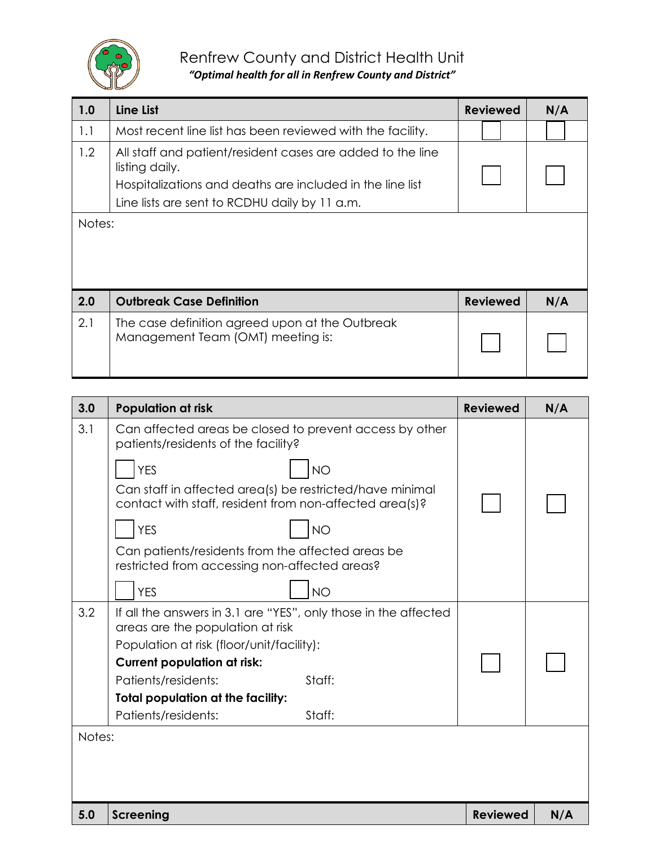

### Renfrew County and District Health Unit

*"Optimal health for all in Renfrew County and District"*

| 1.0    | Line List                                                                                                                                                                                  | <b>Reviewed</b> | N/A |
|--------|--------------------------------------------------------------------------------------------------------------------------------------------------------------------------------------------|-----------------|-----|
| 1.1    | Most recent line list has been reviewed with the facility.                                                                                                                                 |                 |     |
| 1.2    | All staff and patient/resident cases are added to the line<br>listing daily.<br>Hospitalizations and deaths are included in the line list<br>Line lists are sent to RCDHU daily by 11 a.m. |                 |     |
| Notes: |                                                                                                                                                                                            |                 |     |
| 2.0    | <b>Outbreak Case Definition</b>                                                                                                                                                            | <b>Reviewed</b> | N/A |
| 2.1    | The case definition agreed upon at the Outbreak<br>Management Team (OMT) meeting is:                                                                                                       |                 |     |

| 3.0    | <b>Population at risk</b>                                                                                           | <b>Reviewed</b> | N/A |
|--------|---------------------------------------------------------------------------------------------------------------------|-----------------|-----|
| 3.1    | Can affected areas be closed to prevent access by other<br>patients/residents of the facility?                      |                 |     |
|        | <b>YES</b><br><b>NO</b>                                                                                             |                 |     |
|        | Can staff in affected area(s) be restricted/have minimal<br>contact with staff, resident from non-affected area(s)? |                 |     |
|        | <b>YES</b><br><b>NO</b>                                                                                             |                 |     |
|        | Can patients/residents from the affected areas be<br>restricted from accessing non-affected areas?                  |                 |     |
|        | <b>YES</b><br><b>NO</b>                                                                                             |                 |     |
| 3.2    | If all the answers in 3.1 are "YES", only those in the affected<br>areas are the population at risk                 |                 |     |
|        | Population at risk (floor/unit/facility):                                                                           |                 |     |
|        | <b>Current population at risk:</b>                                                                                  |                 |     |
|        | Patients/residents:<br>Staff:                                                                                       |                 |     |
|        | <b>Total population at the facility:</b>                                                                            |                 |     |
|        | Patients/residents:<br>Staff:                                                                                       |                 |     |
| Notes: |                                                                                                                     |                 |     |
|        |                                                                                                                     |                 |     |
|        |                                                                                                                     |                 |     |
| 5.0    | <b>Screening</b>                                                                                                    | <b>Reviewed</b> | N/A |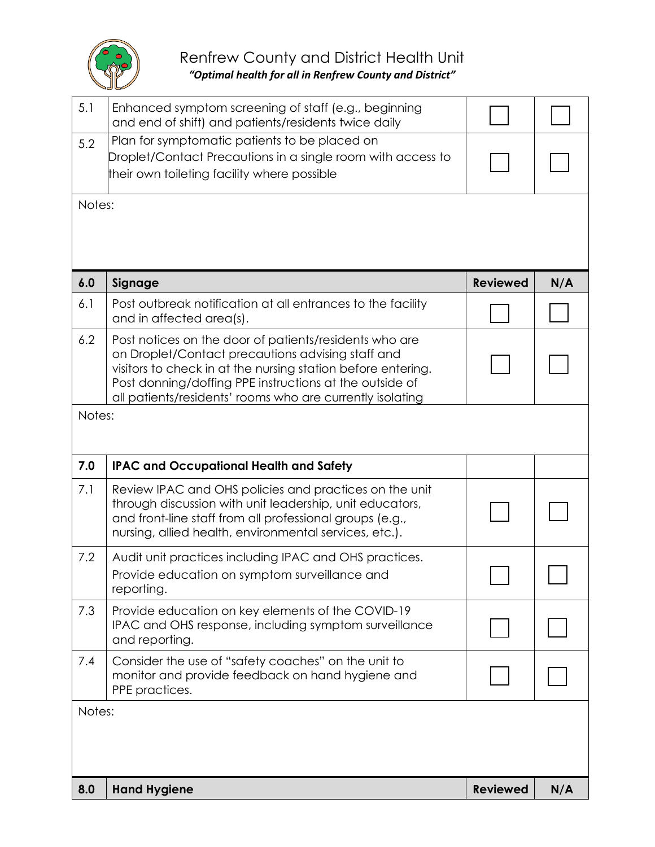

| 5.1           | Enhanced symptom screening of staff (e.g., beginning<br>and end of shift) and patients/residents twice daily                                                                                                                                                                                        |                 |     |
|---------------|-----------------------------------------------------------------------------------------------------------------------------------------------------------------------------------------------------------------------------------------------------------------------------------------------------|-----------------|-----|
| 5.2           | Plan for symptomatic patients to be placed on<br>Droplet/Contact Precautions in a single room with access to<br>their own toileting facility where possible                                                                                                                                         |                 |     |
| Notes:        |                                                                                                                                                                                                                                                                                                     |                 |     |
| 6.0           | Signage                                                                                                                                                                                                                                                                                             | <b>Reviewed</b> | N/A |
| 6.1           | Post outbreak notification at all entrances to the facility<br>and in affected area(s).                                                                                                                                                                                                             |                 |     |
| 6.2           | Post notices on the door of patients/residents who are<br>on Droplet/Contact precautions advising staff and<br>visitors to check in at the nursing station before entering.<br>Post donning/doffing PPE instructions at the outside of<br>all patients/residents' rooms who are currently isolating |                 |     |
| Notes:        |                                                                                                                                                                                                                                                                                                     |                 |     |
| 7.0           | <b>IPAC and Occupational Health and Safety</b>                                                                                                                                                                                                                                                      |                 |     |
| 7.1           | Review IPAC and OHS policies and practices on the unit<br>through discussion with unit leadership, unit educators,<br>and front-line staff from all professional groups (e.g.,<br>nursing, allied health, environmental services, etc.).                                                            |                 |     |
| 7.2           | Audit unit practices including IPAC and OHS practices.                                                                                                                                                                                                                                              |                 |     |
|               | Provide education on symptom surveillance and<br>reporting.                                                                                                                                                                                                                                         |                 |     |
| 7.3           | Provide education on key elements of the COVID-19<br>IPAC and OHS response, including symptom surveillance<br>and reporting.                                                                                                                                                                        |                 |     |
| 7.4           | Consider the use of "safety coaches" on the unit to<br>monitor and provide feedback on hand hygiene and<br>PPE practices.                                                                                                                                                                           |                 |     |
| Notes:<br>8.0 | <b>Hand Hygiene</b>                                                                                                                                                                                                                                                                                 | <b>Reviewed</b> | N/A |
|               |                                                                                                                                                                                                                                                                                                     |                 |     |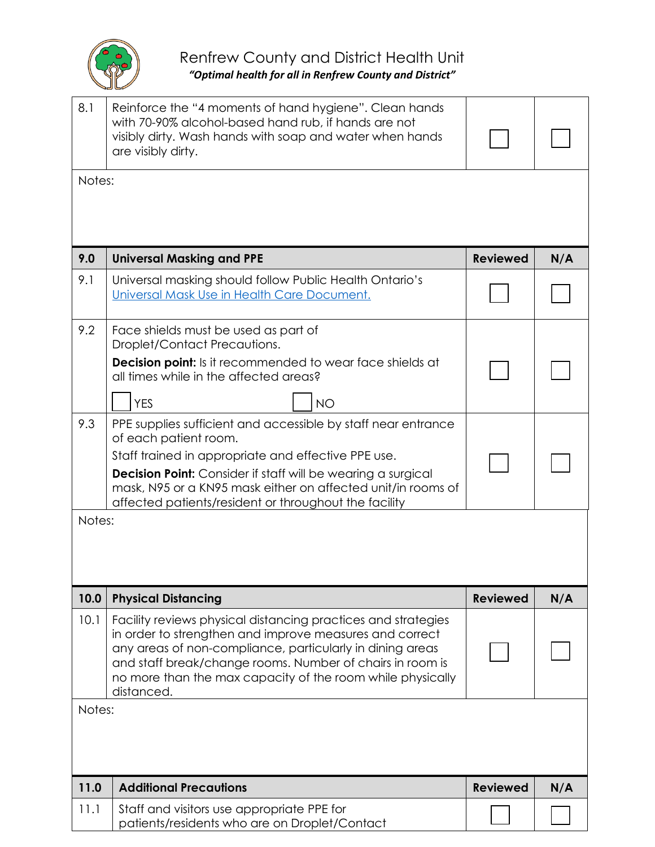

| 8.1    | Reinforce the "4 moments of hand hygiene". Clean hands<br>with 70-90% alcohol-based hand rub, if hands are not<br>visibly dirty. Wash hands with soap and water when hands<br>are visibly dirty.                                                                                                                                       |                 |     |
|--------|----------------------------------------------------------------------------------------------------------------------------------------------------------------------------------------------------------------------------------------------------------------------------------------------------------------------------------------|-----------------|-----|
| Notes: |                                                                                                                                                                                                                                                                                                                                        |                 |     |
|        |                                                                                                                                                                                                                                                                                                                                        |                 |     |
| 9.0    | <b>Universal Masking and PPE</b>                                                                                                                                                                                                                                                                                                       | <b>Reviewed</b> | N/A |
| 9.1    | Universal masking should follow Public Health Ontario's<br>Universal Mask Use in Health Care Document.                                                                                                                                                                                                                                 |                 |     |
| 9.2    | Face shields must be used as part of<br>Droplet/Contact Precautions.                                                                                                                                                                                                                                                                   |                 |     |
|        | <b>Decision point:</b> Is it recommended to wear face shields at<br>all times while in the affected areas?                                                                                                                                                                                                                             |                 |     |
|        | <b>YES</b><br><b>NO</b>                                                                                                                                                                                                                                                                                                                |                 |     |
| 9.3    | PPE supplies sufficient and accessible by staff near entrance<br>of each patient room.<br>Staff trained in appropriate and effective PPE use.<br>Decision Point: Consider if staff will be wearing a surgical<br>mask, N95 or a KN95 mask either on affected unit/in rooms of<br>affected patients/resident or throughout the facility |                 |     |
| Notes: |                                                                                                                                                                                                                                                                                                                                        |                 |     |
|        |                                                                                                                                                                                                                                                                                                                                        |                 |     |
| 10.0   | <b>Physical Distancing</b>                                                                                                                                                                                                                                                                                                             | <b>Reviewed</b> | N/A |
| 10.1   | Facility reviews physical distancing practices and strategies<br>in order to strengthen and improve measures and correct<br>any areas of non-compliance, particularly in dining areas<br>and staff break/change rooms. Number of chairs in room is<br>no more than the max capacity of the room while physically<br>distanced.         |                 |     |
| Notes: |                                                                                                                                                                                                                                                                                                                                        |                 |     |
| 11.0   | <b>Additional Precautions</b>                                                                                                                                                                                                                                                                                                          | <b>Reviewed</b> | N/A |
| 11.1   | Staff and visitors use appropriate PPE for<br>patients/residents who are on Droplet/Contact                                                                                                                                                                                                                                            |                 |     |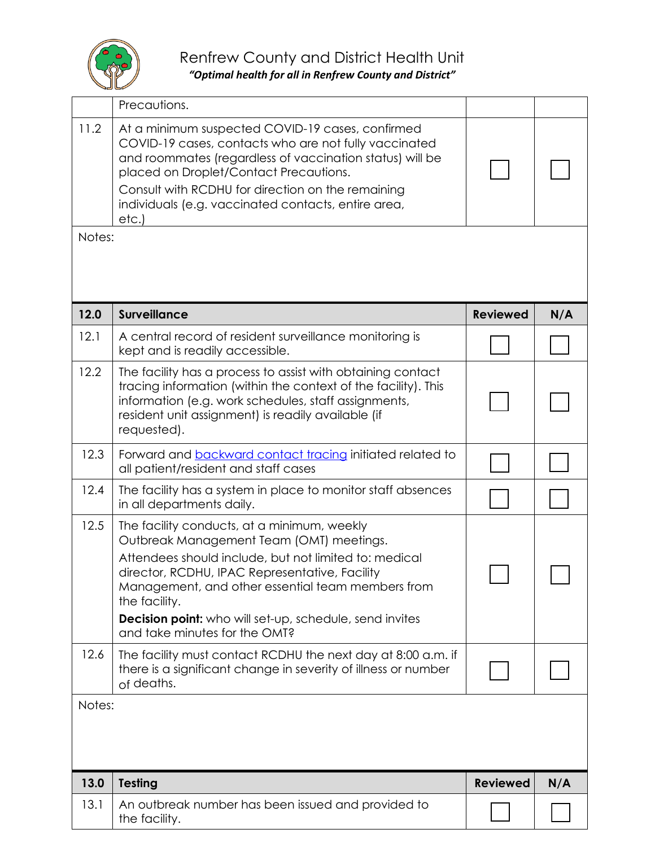

# Renfrew County and District Health Unit

*"Optimal health for all in Renfrew County and District"*

|        | Precautions.                                                                                                                                                                                                                                                                                                                                                         |                 |     |
|--------|----------------------------------------------------------------------------------------------------------------------------------------------------------------------------------------------------------------------------------------------------------------------------------------------------------------------------------------------------------------------|-----------------|-----|
| 11.2   | At a minimum suspected COVID-19 cases, confirmed<br>COVID-19 cases, contacts who are not fully vaccinated<br>and roommates (regardless of vaccination status) will be<br>placed on Droplet/Contact Precautions.<br>Consult with RCDHU for direction on the remaining<br>individuals (e.g. vaccinated contacts, entire area,<br>etc.                                  |                 |     |
| Notes: |                                                                                                                                                                                                                                                                                                                                                                      |                 |     |
|        |                                                                                                                                                                                                                                                                                                                                                                      |                 |     |
| 12.0   | <b>Surveillance</b>                                                                                                                                                                                                                                                                                                                                                  | <b>Reviewed</b> | N/A |
| 12.1   | A central record of resident surveillance monitoring is<br>kept and is readily accessible.                                                                                                                                                                                                                                                                           |                 |     |
| 12.2   | The facility has a process to assist with obtaining contact<br>tracing information (within the context of the facility). This<br>information (e.g. work schedules, staff assignments,<br>resident unit assignment) is readily available (if<br>requested).                                                                                                           |                 |     |
| 12.3   | Forward and backward contact tracing initiated related to<br>all patient/resident and staff cases                                                                                                                                                                                                                                                                    |                 |     |
| 12.4   | The facility has a system in place to monitor staff absences<br>in all departments daily.                                                                                                                                                                                                                                                                            |                 |     |
| 12.5   | The facility conducts, at a minimum, weekly<br>Outbreak Management Team (OMT) meetings.<br>Attendees should include, but not limited to: medical<br>director, RCDHU, IPAC Representative, Facility<br>Management, and other essential team members from<br>the facility.<br>Decision point: who will set-up, schedule, send invites<br>and take minutes for the OMT? |                 |     |
| 12.6   | The facility must contact RCDHU the next day at 8:00 a.m. if<br>there is a significant change in severity of illness or number<br>of deaths.                                                                                                                                                                                                                         |                 |     |
| Notes: |                                                                                                                                                                                                                                                                                                                                                                      |                 |     |
| 13.0   | <b>Testing</b>                                                                                                                                                                                                                                                                                                                                                       | <b>Reviewed</b> | N/A |
| 13.1   | An outbreak number has been issued and provided to<br>the facility.                                                                                                                                                                                                                                                                                                  |                 |     |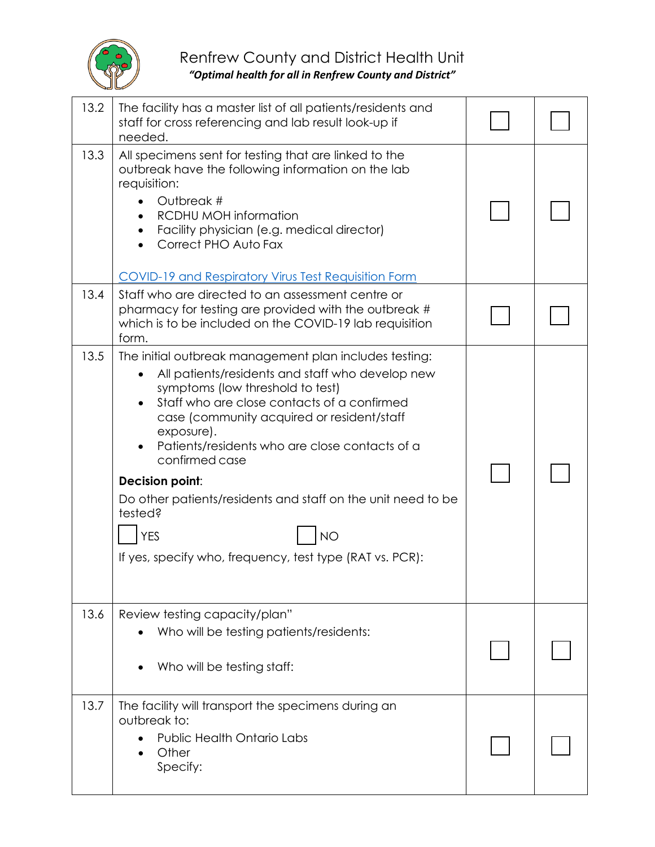

| 13.2 | The facility has a master list of all patients/residents and<br>staff for cross referencing and lab result look-up if<br>needed.                                                                                                                                                                                                                                                                                                                                                                                   |  |
|------|--------------------------------------------------------------------------------------------------------------------------------------------------------------------------------------------------------------------------------------------------------------------------------------------------------------------------------------------------------------------------------------------------------------------------------------------------------------------------------------------------------------------|--|
| 13.3 | All specimens sent for testing that are linked to the<br>outbreak have the following information on the lab<br>requisition:<br>Outbreak #<br><b>RCDHU MOH information</b><br>Facility physician (e.g. medical director)<br>Correct PHO Auto Fax<br><b>COVID-19 and Respiratory Virus Test Requisition Form</b>                                                                                                                                                                                                     |  |
| 13.4 | Staff who are directed to an assessment centre or<br>pharmacy for testing are provided with the outbreak #<br>which is to be included on the COVID-19 lab requisition<br>form.                                                                                                                                                                                                                                                                                                                                     |  |
| 13.5 | The initial outbreak management plan includes testing:<br>All patients/residents and staff who develop new<br>symptoms (low threshold to test)<br>Staff who are close contacts of a confirmed<br>case (community acquired or resident/staff<br>exposure).<br>Patients/residents who are close contacts of a<br>confirmed case<br>Decision point:<br>Do other patients/residents and staff on the unit need to be<br>tested?<br><b>YES</b><br><b>NO</b><br>If yes, specify who, frequency, test type (RAT vs. PCR): |  |
| 13.6 | Review testing capacity/plan"<br>Who will be testing patients/residents:<br>Who will be testing staff:                                                                                                                                                                                                                                                                                                                                                                                                             |  |
| 13.7 | The facility will transport the specimens during an<br>outbreak to:<br>Public Health Ontario Labs<br>Other<br>Specify:                                                                                                                                                                                                                                                                                                                                                                                             |  |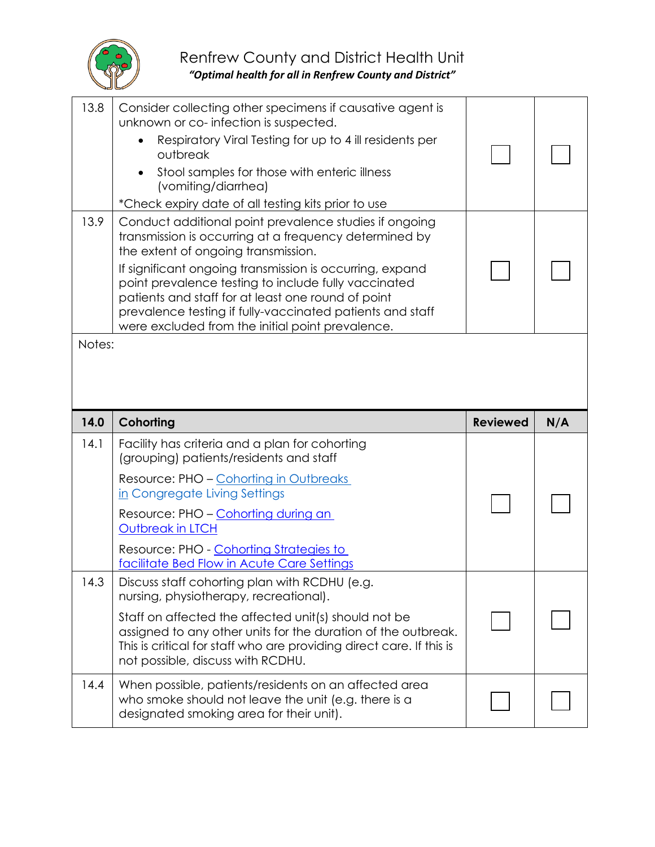

| 13.8   | Consider collecting other specimens if causative agent is<br>unknown or co-infection is suspected.<br>Respiratory Viral Testing for up to 4 ill residents per<br>outbreak<br>Stool samples for those with enteric illness<br>(vomiting/diarrhea)<br>*Check expiry date of all testing kits prior to use                                                                                                                                            |                 |     |  |
|--------|----------------------------------------------------------------------------------------------------------------------------------------------------------------------------------------------------------------------------------------------------------------------------------------------------------------------------------------------------------------------------------------------------------------------------------------------------|-----------------|-----|--|
| 13.9   | Conduct additional point prevalence studies if ongoing<br>transmission is occurring at a frequency determined by<br>the extent of ongoing transmission.<br>If significant ongoing transmission is occurring, expand<br>point prevalence testing to include fully vaccinated<br>patients and staff for at least one round of point<br>prevalence testing if fully-vaccinated patients and staff<br>were excluded from the initial point prevalence. |                 |     |  |
| Notes: |                                                                                                                                                                                                                                                                                                                                                                                                                                                    |                 |     |  |
|        |                                                                                                                                                                                                                                                                                                                                                                                                                                                    |                 |     |  |
| 14.0   | Cohorting                                                                                                                                                                                                                                                                                                                                                                                                                                          | <b>Reviewed</b> | N/A |  |
| 14.1   | Facility has criteria and a plan for cohorting<br>(grouping) patients/residents and staff<br>Resource: PHO - Cohorting in Outbreaks                                                                                                                                                                                                                                                                                                                |                 |     |  |
|        | in Congregate Living Settings<br>Resource: PHO - Cohorting during an<br><b>Outbreak in LTCH</b>                                                                                                                                                                                                                                                                                                                                                    |                 |     |  |
|        | Resource: PHO - Cohorting Strategies to<br>facilitate Bed Flow in Acute Care Settings                                                                                                                                                                                                                                                                                                                                                              |                 |     |  |
| 14.3   | Discuss staff cohorting plan with RCDHU (e.g.<br>nursing, physiotherapy, recreational).                                                                                                                                                                                                                                                                                                                                                            |                 |     |  |
|        | Staff on affected the affected unit(s) should not be<br>assigned to any other units for the duration of the outbreak.<br>This is critical for staff who are providing direct care. If this is<br>not possible, discuss with RCDHU.                                                                                                                                                                                                                 |                 |     |  |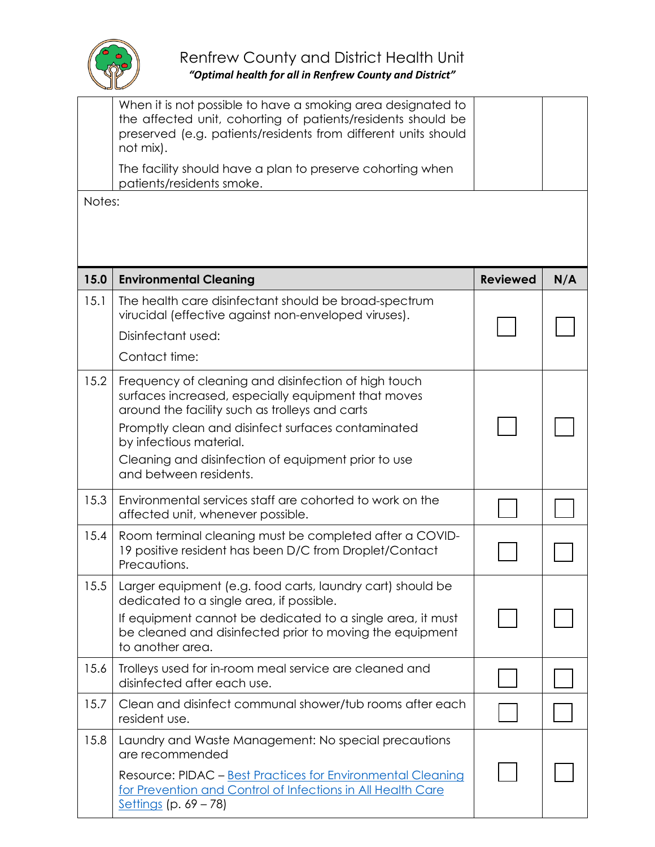

| Notes: | When it is not possible to have a smoking area designated to<br>the affected unit, cohorting of patients/residents should be<br>preserved (e.g. patients/residents from different units should<br>not mix).<br>The facility should have a plan to preserve cohorting when<br>patients/residents smoke.                          |                 |     |
|--------|---------------------------------------------------------------------------------------------------------------------------------------------------------------------------------------------------------------------------------------------------------------------------------------------------------------------------------|-----------------|-----|
|        |                                                                                                                                                                                                                                                                                                                                 |                 |     |
| 15.0   | <b>Environmental Cleaning</b>                                                                                                                                                                                                                                                                                                   | <b>Reviewed</b> | N/A |
| 15.1   | The health care disinfectant should be broad-spectrum<br>virucidal (effective against non-enveloped viruses).<br>Disinfectant used:<br>Contact time:                                                                                                                                                                            |                 |     |
| 15.2   | Frequency of cleaning and disinfection of high touch<br>surfaces increased, especially equipment that moves<br>around the facility such as trolleys and carts<br>Promptly clean and disinfect surfaces contaminated<br>by infectious material.<br>Cleaning and disinfection of equipment prior to use<br>and between residents. |                 |     |
| 15.3   | Environmental services staff are cohorted to work on the<br>affected unit, whenever possible.                                                                                                                                                                                                                                   |                 |     |
| 15.4   | Room terminal cleaning must be completed after a COVID-<br>19 positive resident has been D/C from Droplet/Contact<br>Precautions.                                                                                                                                                                                               |                 |     |
| 15.5   | Larger equipment (e.g. food carts, laundry cart) should be<br>dedicated to a single area, if possible.<br>If equipment cannot be dedicated to a single area, it must<br>be cleaned and disinfected prior to moving the equipment<br>to another area.                                                                            |                 |     |
| 15.6   | Trolleys used for in-room meal service are cleaned and<br>disinfected after each use.                                                                                                                                                                                                                                           |                 |     |
| 15.7   | Clean and disinfect communal shower/tub rooms after each<br>resident use.                                                                                                                                                                                                                                                       |                 |     |
| 15.8   | Laundry and Waste Management: No special precautions<br>are recommended<br>Resource: PIDAC - Best Practices for Environmental Cleaning<br>for Prevention and Control of Infections in All Health Care<br>Settings (p. $69 - 78$ )                                                                                               |                 |     |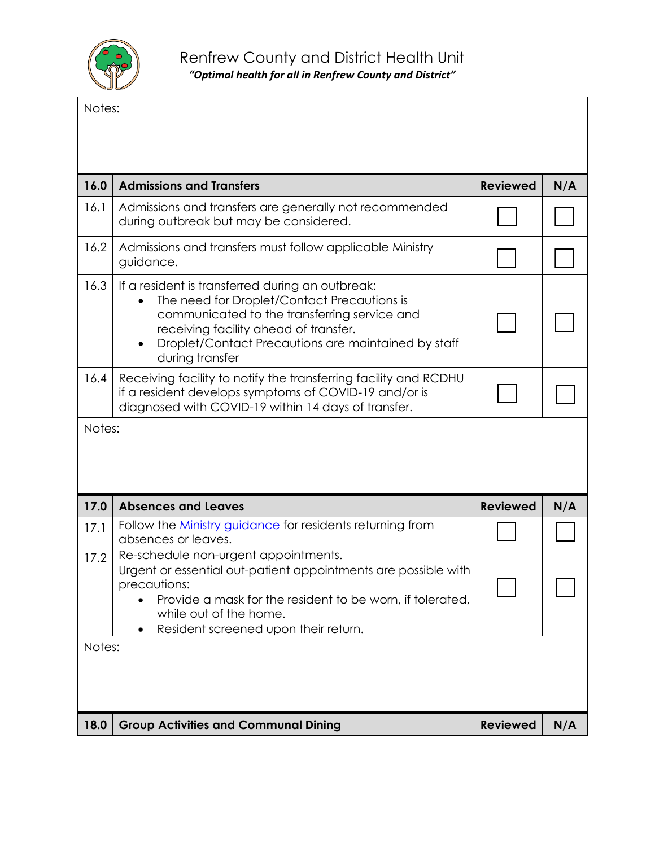

Notes:

| 16.0   | <b>Admissions and Transfers</b>                                                                                                                                                                                                                                                 | <b>Reviewed</b> | N/A |
|--------|---------------------------------------------------------------------------------------------------------------------------------------------------------------------------------------------------------------------------------------------------------------------------------|-----------------|-----|
| 16.1   | Admissions and transfers are generally not recommended<br>during outbreak but may be considered.                                                                                                                                                                                |                 |     |
| 16.2   | Admissions and transfers must follow applicable Ministry<br>guidance.                                                                                                                                                                                                           |                 |     |
| 16.3   | If a resident is transferred during an outbreak:<br>The need for Droplet/Contact Precautions is<br>communicated to the transferring service and<br>receiving facility ahead of transfer.<br>Droplet/Contact Precautions are maintained by staff<br>$\bullet$<br>during transfer |                 |     |
| 16.4   | Receiving facility to notify the transferring facility and RCDHU<br>if a resident develops symptoms of COVID-19 and/or is<br>diagnosed with COVID-19 within 14 days of transfer.                                                                                                |                 |     |
| Notes: |                                                                                                                                                                                                                                                                                 |                 |     |
|        |                                                                                                                                                                                                                                                                                 |                 |     |
| 17.0   | <b>Absences and Leaves</b>                                                                                                                                                                                                                                                      | <b>Reviewed</b> | N/A |
| 17.1   | Follow the <b>Ministry guidance</b> for residents returning from<br>absences or leaves.                                                                                                                                                                                         |                 |     |
| 17.2   | Re-schedule non-urgent appointments.<br>Urgent or essential out-patient appointments are possible with<br>precautions:<br>Provide a mask for the resident to be worn, if tolerated,<br>while out of the home.                                                                   |                 |     |
| Notes: | Resident screened upon their return.                                                                                                                                                                                                                                            |                 |     |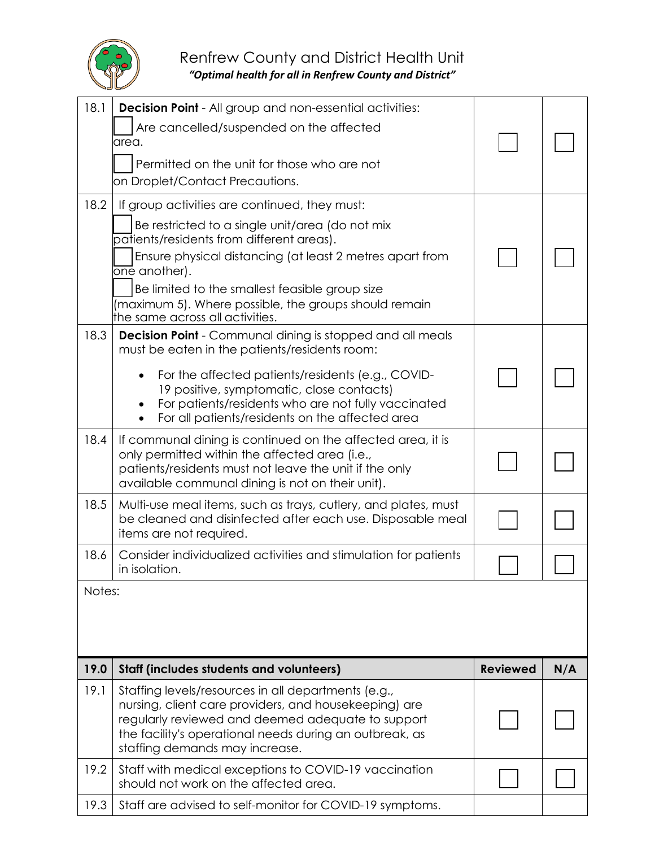

## Renfrew County and District Health Unit

*"Optimal health for all in Renfrew County and District"*

| 18.1   | <b>Decision Point</b> - All group and non-essential activities:<br>Are cancelled/suspended on the affected<br>area.<br>Permitted on the unit for those who are not<br>on Droplet/Contact Precautions.                                                                                                                                                                    |                 |     |
|--------|--------------------------------------------------------------------------------------------------------------------------------------------------------------------------------------------------------------------------------------------------------------------------------------------------------------------------------------------------------------------------|-----------------|-----|
| 18.2   | If group activities are continued, they must:<br>Be restricted to a single unit/area (do not mix<br>patients/residents from different areas).<br>Ensure physical distancing (at least 2 metres apart from<br>one another).<br>Be limited to the smallest feasible group size<br>(maximum 5). Where possible, the groups should remain<br>the same across all activities. |                 |     |
| 18.3   | <b>Decision Point</b> - Communal dining is stopped and all meals<br>must be eaten in the patients/residents room:<br>For the affected patients/residents (e.g., COVID-<br>19 positive, symptomatic, close contacts)<br>For patients/residents who are not fully vaccinated<br>For all patients/residents on the affected area                                            |                 |     |
| 18.4   | If communal dining is continued on the affected area, it is<br>only permitted within the affected area (i.e.,<br>patients/residents must not leave the unit if the only<br>available communal dining is not on their unit).                                                                                                                                              |                 |     |
| 18.5   | Multi-use meal items, such as trays, cutlery, and plates, must<br>be cleaned and disinfected after each use. Disposable meal<br>items are not required.                                                                                                                                                                                                                  |                 |     |
| 18.6   | Consider individualized activities and stimulation for patients<br>in isolation                                                                                                                                                                                                                                                                                          |                 |     |
| Notes: |                                                                                                                                                                                                                                                                                                                                                                          |                 |     |
| 19.0   | Staff (includes students and volunteers)                                                                                                                                                                                                                                                                                                                                 | <b>Reviewed</b> | N/A |
| 19.1   | Staffing levels/resources in all departments (e.g.,<br>nursing, client care providers, and housekeeping) are<br>regularly reviewed and deemed adequate to support<br>the facility's operational needs during an outbreak, as<br>staffing demands may increase.                                                                                                           |                 |     |
| 19.2   | Staff with medical exceptions to COVID-19 vaccination<br>should not work on the affected area.                                                                                                                                                                                                                                                                           |                 |     |
| 19.3   | Staff are advised to self-monitor for COVID-19 symptoms.                                                                                                                                                                                                                                                                                                                 |                 |     |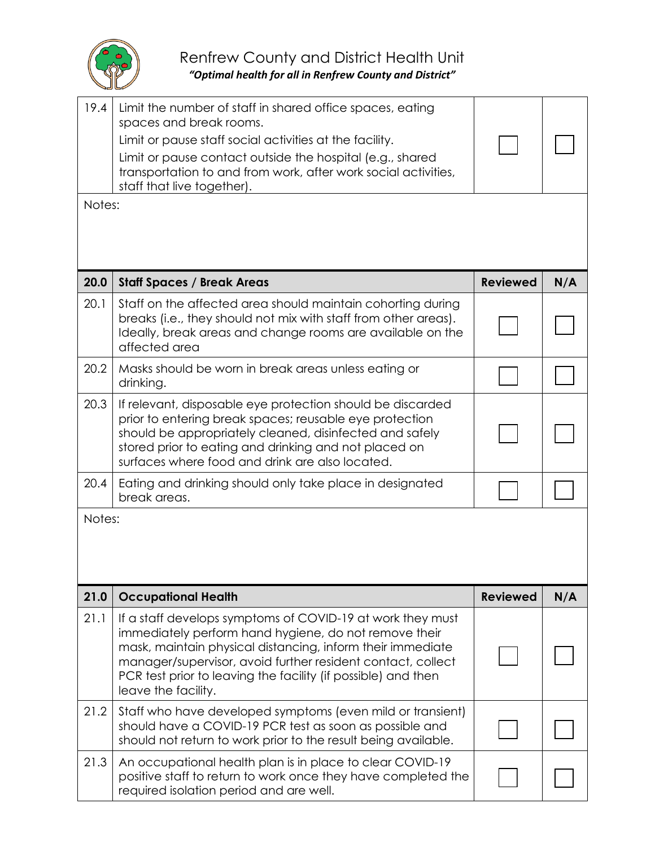

| 19.4   | Limit the number of staff in shared office spaces, eating<br>spaces and break rooms.<br>Limit or pause staff social activities at the facility.<br>Limit or pause contact outside the hospital (e.g., shared<br>transportation to and from work, after work social activities,<br>staff that live together).                             |                 |     |
|--------|------------------------------------------------------------------------------------------------------------------------------------------------------------------------------------------------------------------------------------------------------------------------------------------------------------------------------------------|-----------------|-----|
| Notes: |                                                                                                                                                                                                                                                                                                                                          |                 |     |
|        |                                                                                                                                                                                                                                                                                                                                          |                 |     |
| 20.0   | <b>Staff Spaces / Break Areas</b>                                                                                                                                                                                                                                                                                                        | <b>Reviewed</b> | N/A |
| 20.1   | Staff on the affected area should maintain cohorting during<br>breaks (i.e., they should not mix with staff from other areas).<br>Ideally, break areas and change rooms are available on the<br>affected area                                                                                                                            |                 |     |
| 20.2   | Masks should be worn in break areas unless eating or<br>drinking.                                                                                                                                                                                                                                                                        |                 |     |
| 20.3   | If relevant, disposable eye protection should be discarded<br>prior to entering break spaces; reusable eye protection<br>should be appropriately cleaned, disinfected and safely<br>stored prior to eating and drinking and not placed on<br>surfaces where food and drink are also located.                                             |                 |     |
| 20.4   | Eating and drinking should only take place in designated<br>break areas.                                                                                                                                                                                                                                                                 |                 |     |
| Notes: |                                                                                                                                                                                                                                                                                                                                          |                 |     |
| 21.0   | <b>Occupational Health</b>                                                                                                                                                                                                                                                                                                               | <b>Reviewed</b> | N/A |
| 21.1   | If a staff develops symptoms of COVID-19 at work they must<br>immediately perform hand hygiene, do not remove their<br>mask, maintain physical distancing, inform their immediate<br>manager/supervisor, avoid further resident contact, collect<br>PCR test prior to leaving the facility (if possible) and then<br>leave the facility. |                 |     |
| 21.2   | Staff who have developed symptoms (even mild or transient)<br>should have a COVID-19 PCR test as soon as possible and<br>should not return to work prior to the result being available.                                                                                                                                                  |                 |     |
| 21.3   | An occupational health plan is in place to clear COVID-19<br>positive staff to return to work once they have completed the<br>required isolation period and are well.                                                                                                                                                                    |                 |     |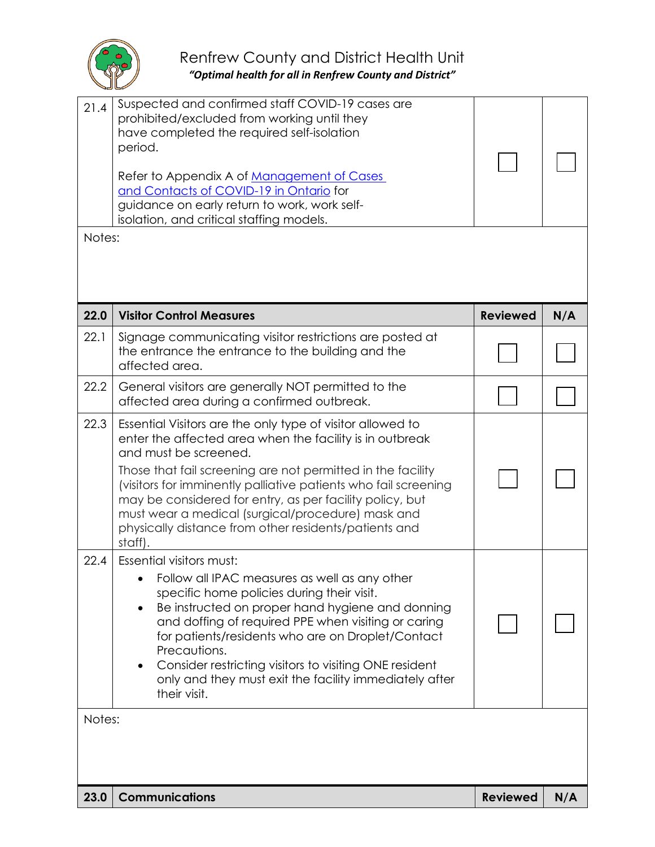

| 21.4   | Suspected and confirmed staff COVID-19 cases are<br>prohibited/excluded from working until they<br>have completed the required self-isolation<br>period.<br>Refer to Appendix A of Management of Cases<br>and Contacts of COVID-19 in Ontario for<br>guidance on early return to work, work self-<br>isolation, and critical staffing models.                                                                                                                          |                 |     |  |
|--------|------------------------------------------------------------------------------------------------------------------------------------------------------------------------------------------------------------------------------------------------------------------------------------------------------------------------------------------------------------------------------------------------------------------------------------------------------------------------|-----------------|-----|--|
| Notes: |                                                                                                                                                                                                                                                                                                                                                                                                                                                                        |                 |     |  |
| 22.0   | <b>Visitor Control Measures</b>                                                                                                                                                                                                                                                                                                                                                                                                                                        | <b>Reviewed</b> | N/A |  |
| 22.1   | Signage communicating visitor restrictions are posted at<br>the entrance the entrance to the building and the<br>affected area.                                                                                                                                                                                                                                                                                                                                        |                 |     |  |
| 22.2   | General visitors are generally NOT permitted to the<br>affected area during a confirmed outbreak.                                                                                                                                                                                                                                                                                                                                                                      |                 |     |  |
| 22.3   | Essential Visitors are the only type of visitor allowed to<br>enter the affected area when the facility is in outbreak<br>and must be screened.<br>Those that fail screening are not permitted in the facility<br>(visitors for imminently palliative patients who fail screening<br>may be considered for entry, as per facility policy, but<br>must wear a medical (surgical/procedure) mask and<br>physically distance from other residents/patients and<br>staff). |                 |     |  |
| 22.4   | Essential visitors must:<br>Follow all IPAC measures as well as any other<br>specific home policies during their visit.<br>Be instructed on proper hand hygiene and donning<br>$\bullet$<br>and doffing of required PPE when visiting or caring<br>for patients/residents who are on Droplet/Contact<br>Precautions.<br>Consider restricting visitors to visiting ONE resident<br>only and they must exit the facility immediately after<br>their visit.               |                 |     |  |
| Notes: |                                                                                                                                                                                                                                                                                                                                                                                                                                                                        |                 |     |  |
| 23.0   | <b>Communications</b>                                                                                                                                                                                                                                                                                                                                                                                                                                                  | <b>Reviewed</b> | N/A |  |